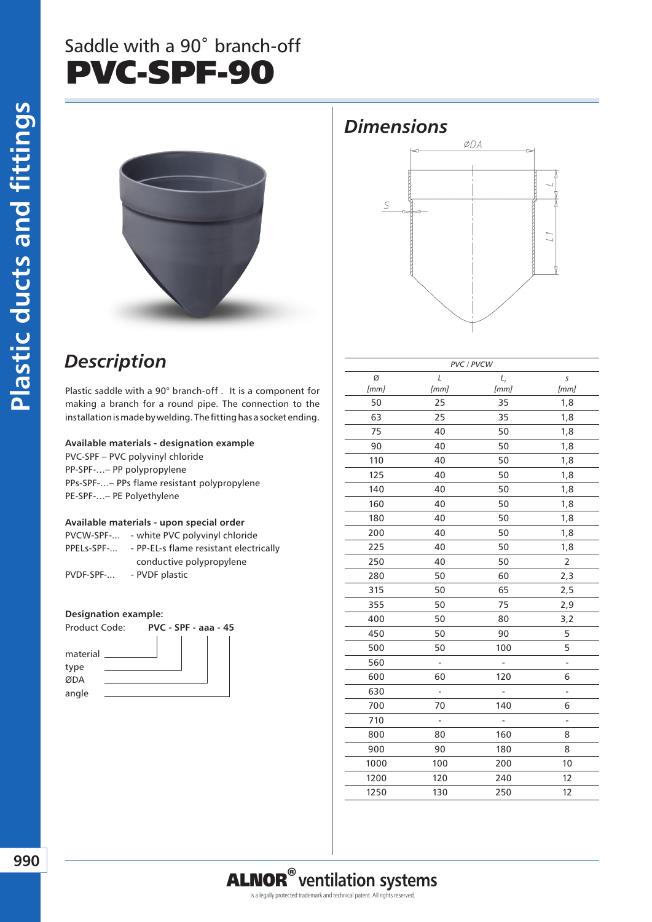## Saddle with a 90˚ branch-off PVC-SPF-90



### *Description*

Plastic saddle with a 90° branch-off . It is a component for making a branch for a round pipe. The connection to the installation is made by welding. The fitting has a socket ending.

#### **Available materials - designation example**

PVC-SPF – PVC polyvinyl chloride PP-SPF-…– PP polypropylene PPs-SPF-…– PPs flame resistant polypropylene PE-SPF-…– PE Polyethylene

#### **Available materials - upon special order**

| PVCW-SPF-  | - white PVC polyvinyl chloride         |  |  |
|------------|----------------------------------------|--|--|
| PPELs-SPF- | - PP-EL-s flame resistant electrically |  |  |
|            | conductive polypropylene               |  |  |
| PVDF-SPF-  | - PVDF plastic                         |  |  |

#### **Designation example:**



|      |                              | PVC / PVCW     |                              |
|------|------------------------------|----------------|------------------------------|
| Ø    | L                            | $L_{1}$        | s                            |
| [mm] | [mm]                         | [mm]           | [mm]                         |
| 50   | 25                           | 35             | 1,8                          |
| 63   | 25                           | 35             | 1,8                          |
| 75   | 40                           | 50             | 1,8                          |
| 90   | 40                           | 50             | 1,8                          |
| 110  | 40                           | 50             | 1,8                          |
| 125  | 40                           | 50             | 1,8                          |
| 140  | 40                           | 50             | 1,8                          |
| 160  | 40                           | 50             | 1,8                          |
| 180  | 40                           | 50             | 1,8                          |
| 200  | 40                           | 50             | 1,8                          |
| 225  | 40                           | 50             | 1,8                          |
| 250  | 40                           | 50             | $\overline{2}$               |
| 280  | 50                           | 60             | 2,3                          |
| 315  | 50                           | 65             | 2,5                          |
| 355  | 50                           | 75             | 2,9                          |
| 400  | 50                           | 80             | 3,2                          |
| 450  | 50                           | 90             | 5                            |
| 500  | 50                           | 100            | 5                            |
| 560  | $\qquad \qquad \blacksquare$ |                | $\qquad \qquad \blacksquare$ |
| 600  | 60                           | 120            | 6                            |
| 630  | -                            | $\overline{a}$ | ÷,                           |
| 700  | 70                           | 140            | 6                            |
| 710  |                              |                | -                            |
| 800  | 80                           | 160            | 8                            |
| 900  | 90                           | 180            | 8                            |
| 1000 | 100                          | 200            | 10                           |
| 1200 | 120                          | 240            | 12                           |
| 1250 | 130                          | 250            | 12                           |
|      |                              |                |                              |

*Dimensions*

S

ØDA

# ALNOR®**ventilation systems**

is a legally protected trademark and technical patent. All rights reserved.